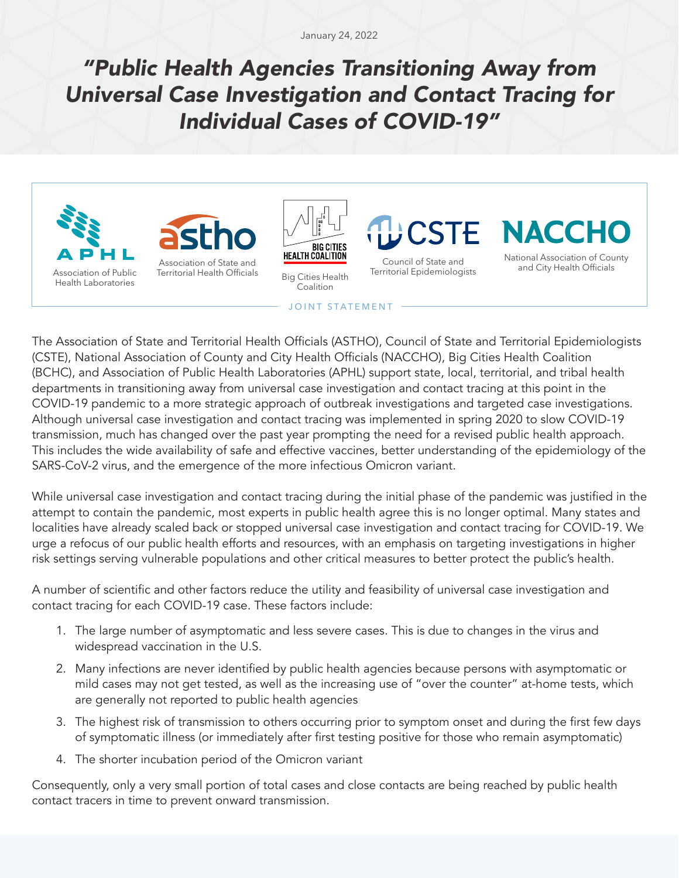January 24, 2022

## *"Public Health Agencies Transitioning Away from Universal Case Investigation and Contact Tracing for Individual Cases of COVID-19"*







Big Cities Health Coalition

Council of State and Territorial Epidemiologists

National Association of County and City Health Officials

## JOINT STATEMENT

The Association of State and Territorial Health Officials (ASTHO), Council of State and Territorial Epidemiologists (CSTE), National Association of County and City Health Officials (NACCHO), Big Cities Health Coalition (BCHC), and Association of Public Health Laboratories (APHL) support state, local, territorial, and tribal health departments in transitioning away from universal case investigation and contact tracing at this point in the COVID-19 pandemic to a more strategic approach of outbreak investigations and targeted case investigations. Although universal case investigation and contact tracing was implemented in spring 2020 to slow COVID-19 transmission, much has changed over the past year prompting the need for a revised public health approach. This includes the wide availability of safe and effective vaccines, better understanding of the epidemiology of the SARS-CoV-2 virus, and the emergence of the more infectious Omicron variant.

While universal case investigation and contact tracing during the initial phase of the pandemic was justified in the attempt to contain the pandemic, most experts in public health agree this is no longer optimal. Many states and localities have already scaled back or stopped universal case investigation and contact tracing for COVID-19. We urge a refocus of our public health efforts and resources, with an emphasis on targeting investigations in higher risk settings serving vulnerable populations and other critical measures to better protect the public's health.

A number of scientific and other factors reduce the utility and feasibility of universal case investigation and contact tracing for each COVID-19 case. These factors include:

- 1. The large number of asymptomatic and less severe cases. This is due to changes in the virus and widespread vaccination in the U.S.
- 2. Many infections are never identified by public health agencies because persons with asymptomatic or mild cases may not get tested, as well as the increasing use of "over the counter" at-home tests, which are generally not reported to public health agencies
- 3. The highest risk of transmission to others occurring prior to symptom onset and during the first few days of symptomatic illness (or immediately after first testing positive for those who remain asymptomatic)
- 4. The shorter incubation period of the Omicron variant

Consequently, only a very small portion of total cases and close contacts are being reached by public health contact tracers in time to prevent onward transmission.